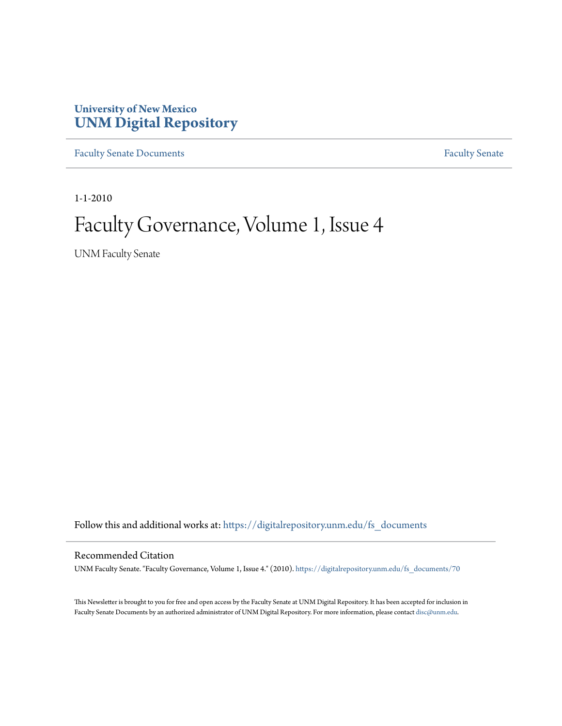### **University of New Mexico [UNM Digital Repository](https://digitalrepository.unm.edu?utm_source=digitalrepository.unm.edu%2Ffs_documents%2F70&utm_medium=PDF&utm_campaign=PDFCoverPages)**

[Faculty Senate Documents](https://digitalrepository.unm.edu/fs_documents?utm_source=digitalrepository.unm.edu%2Ffs_documents%2F70&utm_medium=PDF&utm_campaign=PDFCoverPages) **[Faculty Senate](https://digitalrepository.unm.edu/faculty_senate?utm_source=digitalrepository.unm.edu%2Ffs_documents%2F70&utm_medium=PDF&utm_campaign=PDFCoverPages)** Procuments **Faculty** Senate

1-1-2010

### Faculty Governance, Volume 1, Issue 4

UNM Faculty Senate

Follow this and additional works at: [https://digitalrepository.unm.edu/fs\\_documents](https://digitalrepository.unm.edu/fs_documents?utm_source=digitalrepository.unm.edu%2Ffs_documents%2F70&utm_medium=PDF&utm_campaign=PDFCoverPages)

#### Recommended Citation

UNM Faculty Senate. "Faculty Governance, Volume 1, Issue 4." (2010). [https://digitalrepository.unm.edu/fs\\_documents/70](https://digitalrepository.unm.edu/fs_documents/70?utm_source=digitalrepository.unm.edu%2Ffs_documents%2F70&utm_medium=PDF&utm_campaign=PDFCoverPages)

This Newsletter is brought to you for free and open access by the Faculty Senate at UNM Digital Repository. It has been accepted for inclusion in Faculty Senate Documents by an authorized administrator of UNM Digital Repository. For more information, please contact [disc@unm.edu](mailto:disc@unm.edu).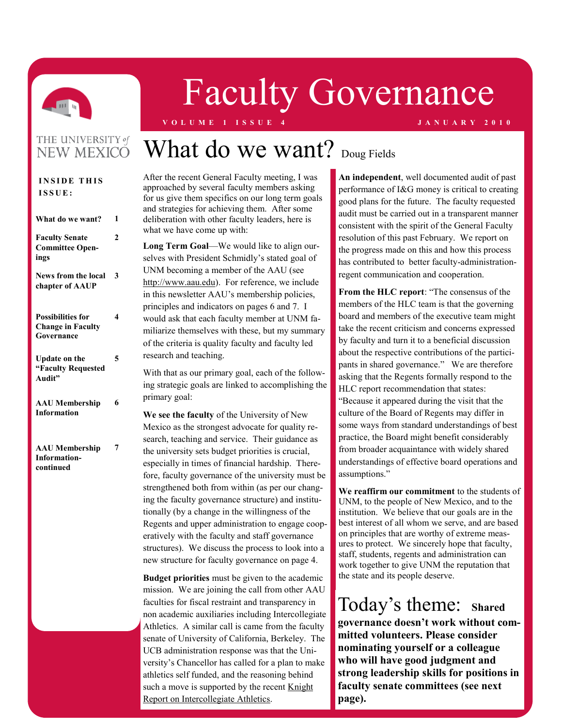

# Faculty Governance

#### **V O L U M E 1 I S S U E 4 J A N U A R Y 2 0 1 0**

#### THE UNIVERSITY of **NEW MEXICO**

| <b>INSIDE THIS</b><br>ISSUE:                                       |   |
|--------------------------------------------------------------------|---|
|                                                                    |   |
| What do we want?                                                   | 1 |
| <b>Faculty Senate</b><br><b>Committee Open-</b><br>ings            | 2 |
| <b>News from the local</b><br>chapter of AAUP                      | 3 |
| <b>Possibilities for</b><br><b>Change in Faculty</b><br>Governance | 4 |
| <b>Update on the</b><br>"Faculty Requested<br>Audit"               | 5 |
| <b>AAU</b> Membership<br><b>Information</b>                        | 6 |
| <b>AAU</b> Membership<br><b>Information-</b><br>continued          | 7 |

## What do we want? Doug Fields

After the recent General Faculty meeting, I was approached by several faculty members asking for us give them specifics on our long term goals and strategies for achieving them. After some deliberation with other faculty leaders, here is what we have come up with:

**Long Term Goal**—We would like to align ourselves with President Schmidly's stated goal of UNM becoming a member of the AAU (see [http://www.aau.edu\).](http://www.aau.edu) For reference, we include in this newsletter AAU's membership policies, principles and indicators on pages 6 and 7. I would ask that each faculty member at UNM familiarize themselves with these, but my summary of the criteria is quality faculty and faculty led research and teaching.

With that as our primary goal, each of the following strategic goals are linked to accomplishing the primary goal:

**We see the faculty** of the University of New Mexico as the strongest advocate for quality research, teaching and service. Their guidance as the university sets budget priorities is crucial, especially in times of financial hardship. Therefore, faculty governance of the university must be strengthened both from within (as per our changing the faculty governance structure) and institutionally (by a change in the willingness of the Regents and upper administration to engage cooperatively with the faculty and staff governance structures). We discuss the process to look into a new structure for faculty governance on page 4.

**Budget priorities** must be given to the academic mission. We are joining the call from other AAU faculties for fiscal restraint and transparency in non academic auxiliaries including Intercollegiate Athletics. A similar call is came from the faculty senate of University of California, Berkeley. The UCB administration response was that the University's Chancellor has called for a plan to make athletics self funded, and the reasoning behind such a move is supported by the recent [Knight](http://www.knightcommission.org/)  [Report on Intercollegiate Athletics.](http://www.knightcommission.org/)

**An independent**, well documented audit of past performance of I&G money is critical to creating good plans for the future. The faculty requested audit must be carried out in a transparent manner consistent with the spirit of the General Faculty resolution of this past February. We report on the progress made on this and how this process has contributed to better faculty-administrationregent communication and cooperation.

From the HLC report: "The consensus of the members of the HLC team is that the governing board and members of the executive team might take the recent criticism and concerns expressed by faculty and turn it to a beneficial discussion about the respective contributions of the participants in shared governance." We are therefore asking that the Regents formally respond to the HLC report recommendation that states:

―Because it appeared during the visit that the culture of the Board of Regents may differ in some ways from standard understandings of best practice, the Board might benefit considerably from broader acquaintance with widely shared understandings of effective board operations and assumptions."

**We reaffirm our commitment** to the students of UNM, to the people of New Mexico, and to the institution. We believe that our goals are in the best interest of all whom we serve, and are based on principles that are worthy of extreme measures to protect. We sincerely hope that faculty, staff, students, regents and administration can work together to give UNM the reputation that the state and its people deserve.

Today's theme: **Shared governance doesn't work without committed volunteers. Please consider nominating yourself or a colleague who will have good judgment and strong leadership skills for positions in faculty senate committees (see next page).**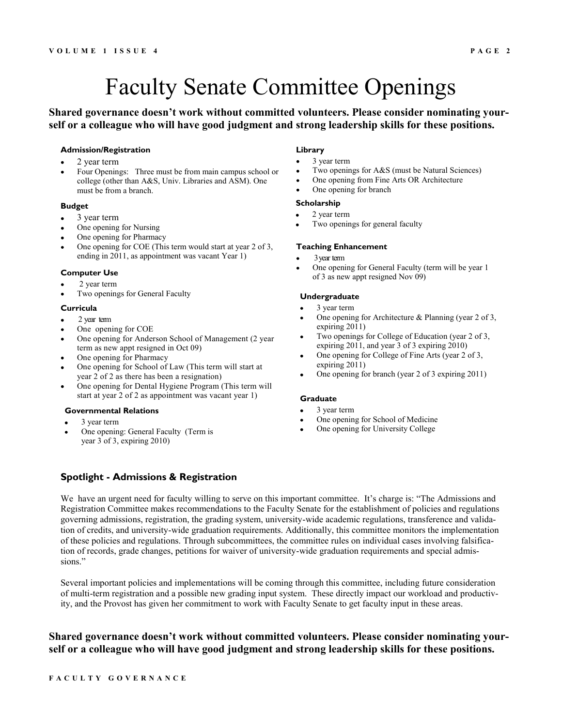### Faculty Senate Committee Openings

#### **Shared governance doesn't work without committed volunteers. Please consider nominating yourself or a colleague who will have good judgment and strong leadership skills for these positions.**

#### **Admission/Registration**

- 2 year term
- Four Openings: Three must be from main campus school or college (other than A&S, Univ. Libraries and ASM). One must be from a branch.

#### **Budget**

- 3 year term
- One opening for Nursing
- One opening for Pharmacy
- One opening for COE (This term would start at year 2 of 3, ending in 2011, as appointment was vacant Year 1)

#### **Computer Use**

- 2 year term
- Two openings for General Faculty

#### **Curricula**

- 2 year term
- One opening for COE
- One opening for Anderson School of Management (2 year term as new appt resigned in Oct 09)
- One opening for Pharmacy
- One opening for School of Law (This term will start at year 2 of 2 as there has been a resignation)
- One opening for Dental Hygiene Program (This term will start at year 2 of 2 as appointment was vacant year 1)

#### **Governmental Relations**

- 3 year term
- One opening: General Faculty (Term is year 3 of 3, expiring 2010)

#### **Library**

- 3 year term  $\bullet$
- Two openings for A&S (must be Natural Sciences)
- One opening from Fine Arts OR Architecture
- One opening for branch

#### **Scholarship**

- $\bullet$ 2 year term
- Two openings for general faculty

#### **Teaching Enhancement**

- 3 year term
- One opening for General Faculty (term will be year 1 of 3 as new appt resigned Nov 09)

#### **Undergraduate**

- 3 year term
- One opening for Architecture & Planning (year 2 of 3, expiring 2011)
- Two openings for College of Education (year 2 of 3, expiring 2011, and year 3 of 3 expiring 2010)
- One opening for College of Fine Arts (year 2 of 3, expiring 2011)
- One opening for branch (year 2 of 3 expiring 2011)

#### **Graduate**

- 3 year term
- One opening for School of Medicine
- One opening for University College

#### **Spotlight - Admissions & Registration**

We have an urgent need for faculty willing to serve on this important committee. It's charge is: "The Admissions and Registration Committee makes recommendations to the Faculty Senate for the establishment of policies and regulations governing admissions, registration, the grading system, university-wide academic regulations, transference and validation of credits, and university-wide graduation requirements. Additionally, this committee monitors the implementation of these policies and regulations. Through subcommittees, the committee rules on individual cases involving falsification of records, grade changes, petitions for waiver of university-wide graduation requirements and special admissions."

Several important policies and implementations will be coming through this committee, including future consideration of multi-term registration and a possible new grading input system. These directly impact our workload and productivity, and the Provost has given her commitment to work with Faculty Senate to get faculty input in these areas.

#### **Shared governance doesn't work without committed volunteers. Please consider nominating yourself or a colleague who will have good judgment and strong leadership skills for these positions.**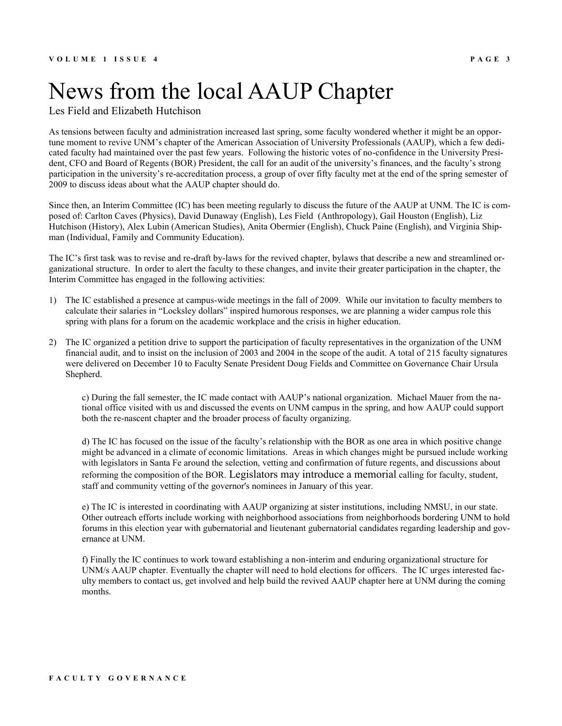### News from the local AAUP Chapter

Les Field and Elizabeth Hutchison

As tensions between faculty and administration increased last spring, some faculty wondered whether it might be an opportune moment to revive UNM's chapter of the American Association of University Professionals (AAUP), which a few dedicated faculty had maintained over the past few years. Following the historic votes of no-confidence in the University President, CFO and Board of Regents (BOR) President, the call for an audit of the university's finances, and the faculty's strong participation in the university's re-accreditation process, a group of over fifty faculty met at the end of the spring semester of 2009 to discuss ideas about what the AAUP chapter should do.

Since then, an Interim Committee (IC) has been meeting regularly to discuss the future of the AAUP at UNM. The IC is composed of: Carlton Caves (Physics), David Dunaway (English), Les Field (Anthropology), Gail Houston (English), Liz Hutchison (History), Alex Lubin (American Studies), Anita Obermier (English), Chuck Paine (English), and Virginia Shipman (Individual, Family and Community Education).

The IC's first task was to revise and re-draft by-laws for the revived chapter, bylaws that describe a new and streamlined organizational structure. In order to alert the faculty to these changes, and invite their greater participation in the chapter, the Interim Committee has engaged in the following activities:

- 1) The IC established a presence at campus-wide meetings in the fall of 2009. While our invitation to faculty members to calculate their salaries in "Locksley dollars" inspired humorous responses, we are planning a wider campus role this spring with plans for a forum on the academic workplace and the crisis in higher education.
- 2) The IC organized a petition drive to support the participation of faculty representatives in the organization of the UNM financial audit, and to insist on the inclusion of 2003 and 2004 in the scope of the audit. A total of 215 faculty signatures were delivered on December 10 to Faculty Senate President Doug Fields and Committee on Governance Chair Ursula Shepherd.

c) During the fall semester, the IC made contact with AAUP's national organization. Michael Mauer from the national office visited with us and discussed the events on UNM campus in the spring, and how AAUP could support both the re-nascent chapter and the broader process of faculty organizing.

d) The IC has focused on the issue of the faculty's relationship with the BOR as one area in which positive change might be advanced in a climate of economic limitations. Areas in which changes might be pursued include working with legislators in Santa Fe around the selection, vetting and confirmation of future regents, and discussions about reforming the composition of the BOR. Legislators may introduce a memorial calling for faculty, student, staff and community vetting of the governor's nominees in January of this year.

e) The IC is interested in coordinating with AAUP organizing at sister institutions, including NMSU, in our state. Other outreach efforts include working with neighborhood associations from neighborhoods bordering UNM to hold forums in this election year with gubernatorial and lieutenant gubernatorial candidates regarding leadership and governance at UNM.

f) Finally the IC continues to work toward establishing a non-interim and enduring organizational structure for UNM/s AAUP chapter. Eventually the chapter will need to hold elections for officers. The IC urges interested faculty members to contact us, get involved and help build the revived AAUP chapter here at UNM during the coming months.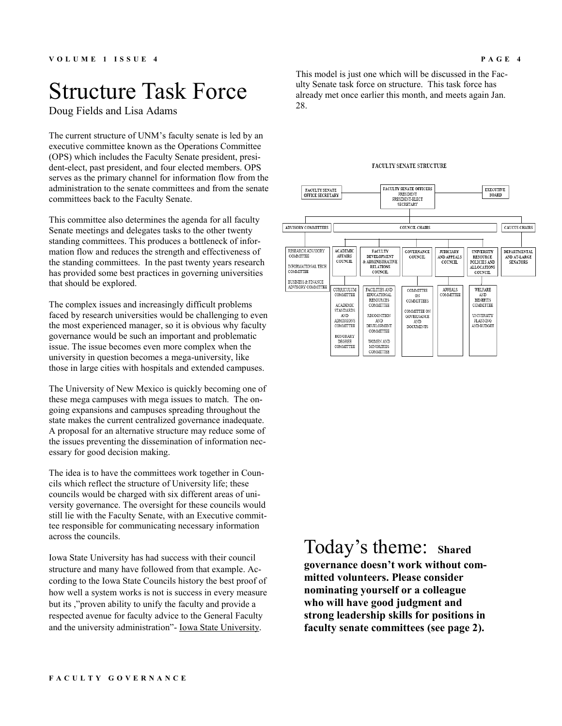### Structure Task Force

Doug Fields and Lisa Adams

The current structure of UNM's faculty senate is led by an executive committee known as the Operations Committee (OPS) which includes the Faculty Senate president, president-elect, past president, and four elected members. OPS serves as the primary channel for information flow from the administration to the senate committees and from the senate committees back to the Faculty Senate.

This committee also determines the agenda for all faculty Senate meetings and delegates tasks to the other twenty standing committees. This produces a bottleneck of information flow and reduces the strength and effectiveness of the standing committees. In the past twenty years research has provided some best practices in governing universities that should be explored.

The complex issues and increasingly difficult problems faced by research universities would be challenging to even the most experienced manager, so it is obvious why faculty governance would be such an important and problematic issue. The issue becomes even more complex when the university in question becomes a mega-university, like those in large cities with hospitals and extended campuses.

The University of New Mexico is quickly becoming one of these mega campuses with mega issues to match. The ongoing expansions and campuses spreading throughout the state makes the current centralized governance inadequate. A proposal for an alternative structure may reduce some of the issues preventing the dissemination of information necessary for good decision making.

The idea is to have the committees work together in Councils which reflect the structure of University life; these councils would be charged with six different areas of university governance. The oversight for these councils would still lie with the Faculty Senate, with an Executive committee responsible for communicating necessary information across the councils.

Iowa State University has had success with their council structure and many have followed from that example. According to the Iowa State Councils history the best proof of how well a system works is not is success in every measure but its ,"proven ability to unify the faculty and provide a respected avenue for faculty advice to the General Faculty and the university administration"- [Iowa State University.](http://www.facsen.iastate.edu/History/facultycouncilhistory.htm)

This model is just one which will be discussed in the Faculty Senate task force on structure. This task force has already met once earlier this month, and meets again Jan. 28.

#### FACULTY SENATE STRUCTURE



#### Today's theme: **Shared governance doesn't work without committed volunteers. Please consider**

**nominating yourself or a colleague who will have good judgment and strong leadership skills for positions in faculty senate committees (see page 2).**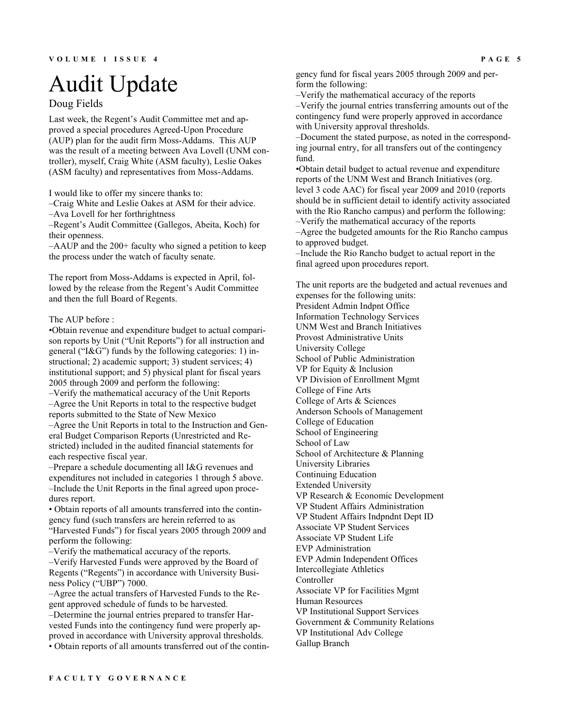## Audit Update

#### Doug Fields

Last week, the Regent's Audit Committee met and approved a special procedures Agreed-Upon Procedure (AUP) plan for the audit firm Moss-Addams. This AUP was the result of a meeting between Ava Lovell (UNM controller), myself, Craig White (ASM faculty), Leslie Oakes (ASM faculty) and representatives from Moss-Addams.

I would like to offer my sincere thanks to:

–Craig White and Leslie Oakes at ASM for their advice.

–Ava Lovell for her forthrightness

–Regent's Audit Committee (Gallegos, Abeita, Koch) for their openness.

–AAUP and the 200+ faculty who signed a petition to keep the process under the watch of faculty senate.

The report from Moss-Addams is expected in April, followed by the release from the Regent's Audit Committee and then the full Board of Regents.

#### The AUP before :

•Obtain revenue and expenditure budget to actual comparison reports by Unit ("Unit Reports") for all instruction and general (" $R$ <sup>G</sup>") funds by the following categories: 1) instructional; 2) academic support; 3) student services; 4) institutional support; and 5) physical plant for fiscal years 2005 through 2009 and perform the following: –Verify the mathematical accuracy of the Unit Reports –Agree the Unit Reports in total to the respective budget reports submitted to the State of New Mexico

–Agree the Unit Reports in total to the Instruction and General Budget Comparison Reports (Unrestricted and Restricted) included in the audited financial statements for each respective fiscal year.

–Prepare a schedule documenting all I&G revenues and expenditures not included in categories 1 through 5 above. –Include the Unit Reports in the final agreed upon procedures report.

• Obtain reports of all amounts transferred into the contingency fund (such transfers are herein referred to as "Harvested Funds") for fiscal years 2005 through 2009 and perform the following:

–Verify the mathematical accuracy of the reports.

–Verify Harvested Funds were approved by the Board of Regents ("Regents") in accordance with University Business Policy ("UBP") 7000.

–Agree the actual transfers of Harvested Funds to the Regent approved schedule of funds to be harvested.

–Determine the journal entries prepared to transfer Harvested Funds into the contingency fund were properly approved in accordance with University approval thresholds. • Obtain reports of all amounts transferred out of the contingency fund for fiscal years 2005 through 2009 and perform the following:

–Verify the mathematical accuracy of the reports –Verify the journal entries transferring amounts out of the contingency fund were properly approved in accordance with University approval thresholds.

–Document the stated purpose, as noted in the corresponding journal entry, for all transfers out of the contingency fund.

•Obtain detail budget to actual revenue and expenditure reports of the UNM West and Branch Initiatives (org. level 3 code AAC) for fiscal year 2009 and 2010 (reports should be in sufficient detail to identify activity associated with the Rio Rancho campus) and perform the following: –Verify the mathematical accuracy of the reports

–Agree the budgeted amounts for the Rio Rancho campus to approved budget.

–Include the Rio Rancho budget to actual report in the final agreed upon procedures report.

The unit reports are the budgeted and actual revenues and expenses for the following units: President Admin Indpnt Office Information Technology Services UNM West and Branch Initiatives Provost Administrative Units University College School of Public Administration VP for Equity & Inclusion VP Division of Enrollment Mgmt College of Fine Arts College of Arts & Sciences Anderson Schools of Management College of Education School of Engineering School of Law School of Architecture & Planning University Libraries Continuing Education Extended University VP Research & Economic Development VP Student Affairs Administration VP Student Affairs Indpndnt Dept ID Associate VP Student Services Associate VP Student Life EVP Administration EVP Admin Independent Offices Intercollegiate Athletics Controller Associate VP for Facilities Mgmt Human Resources VP Institutional Support Services Government & Community Relations VP Institutional Adv College Gallup Branch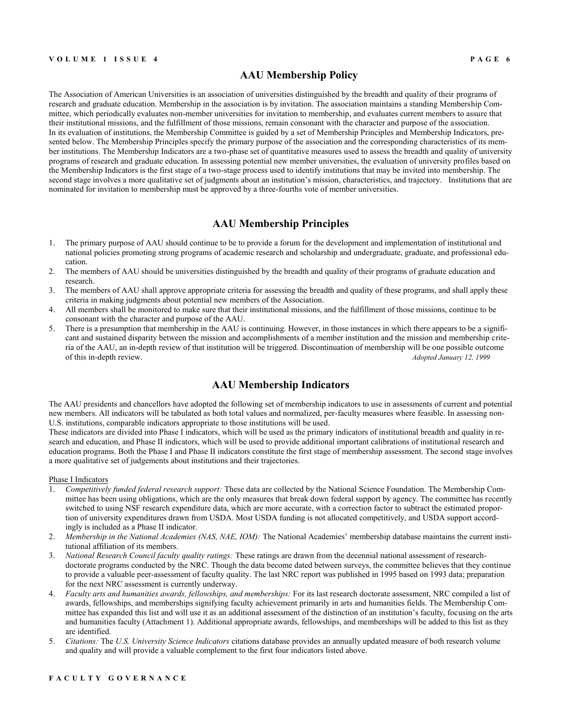#### **AAU Membership Policy**

The Association of American Universities is an association of universities distinguished by the breadth and quality of their programs of research and graduate education. Membership in the association is by invitation. The association maintains a standing Membership Committee, which periodically evaluates non-member universities for invitation to membership, and evaluates current members to assure that their institutional missions, and the fulfillment of those missions, remain consonant with the character and purpose of the association. In its evaluation of institutions, the Membership Committee is guided by a set of Membership Principles and Membership Indicators, presented below. The Membership Principles specify the primary purpose of the association and the corresponding characteristics of its member institutions. The Membership Indicators are a two-phase set of quantitative measures used to assess the breadth and quality of university programs of research and graduate education. In assessing potential new member universities, the evaluation of university profiles based on the Membership Indicators is the first stage of a two-stage process used to identify institutions that may be invited into membership. The second stage involves a more qualitative set of judgments about an institution's mission, characteristics, and trajectory. Institutions that are nominated for invitation to membership must be approved by a three-fourths vote of member universities.

#### **AAU Membership Principles**

- 1. The primary purpose of AAU should continue to be to provide a forum for the development and implementation of institutional and national policies promoting strong programs of academic research and scholarship and undergraduate, graduate, and professional education.
- 2. The members of AAU should be universities distinguished by the breadth and quality of their programs of graduate education and research.
- 3. The members of AAU shall approve appropriate criteria for assessing the breadth and quality of these programs, and shall apply these criteria in making judgments about potential new members of the Association.
- 4. All members shall be monitored to make sure that their institutional missions, and the fulfillment of those missions, continue to be consonant with the character and purpose of the AAU.
- 5. There is a presumption that membership in the AAU is continuing. However, in those instances in which there appears to be a significant and sustained disparity between the mission and accomplishments of a member institution and the mission and membership criteria of the AAU, an in-depth review of that institution will be triggered. Discontinuation of membership will be one possible outcome of this in-depth review. *Adopted January 12, 1999*

#### **AAU Membership Indicators**

The AAU presidents and chancellors have adopted the following set of membership indicators to use in assessments of current and potential new members. All indicators will be tabulated as both total values and normalized, per-faculty measures where feasible. In assessing non-U.S. institutions, comparable indicators appropriate to those institutions will be used.

These indicators are divided into Phase I indicators, which will be used as the primary indicators of institutional breadth and quality in research and education, and Phase II indicators, which will be used to provide additional important calibrations of institutional research and education programs. Both the Phase I and Phase II indicators constitute the first stage of membership assessment. The second stage involves a more qualitative set of judgements about institutions and their trajectories.

#### Phase I Indicators

- 1. *Competitively funded federal research support:* These data are collected by the National Science Foundation. The Membership Committee has been using obligations, which are the only measures that break down federal support by agency. The committee has recently switched to using NSF research expenditure data, which are more accurate, with a correction factor to subtract the estimated proportion of university expenditures drawn from USDA. Most USDA funding is not allocated competitively, and USDA support accordingly is included as a Phase II indicator.
- 2. *Membership in the National Academies (NAS, NAE, IOM):* The National Academies' membership database maintains the current institutional affiliation of its members.
- 3. *National Research Council faculty quality ratings:* These ratings are drawn from the decennial national assessment of researchdoctorate programs conducted by the NRC. Though the data become dated between surveys, the committee believes that they continue to provide a valuable peer-assessment of faculty quality. The last NRC report was published in 1995 based on 1993 data; preparation for the next NRC assessment is currently underway.
- 4. *Faculty arts and humanities awards, fellowships, and memberships:* For its last research doctorate assessment, NRC compiled a list of awards, fellowships, and memberships signifying faculty achievement primarily in arts and humanities fields. The Membership Committee has expanded this list and will use it as an additional assessment of the distinction of an institution's faculty, focusing on the arts and humanities faculty (Attachment 1). Additional appropriate awards, fellowships, and memberships will be added to this list as they are identified.
- 5. *Citations:* The *U.S. University Science Indicators* citations database provides an annually updated measure of both research volume and quality and will provide a valuable complement to the first four indicators listed above.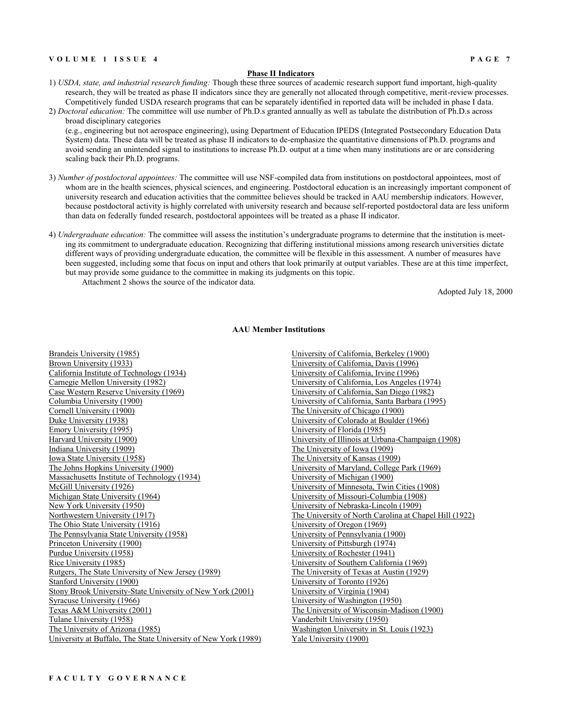#### **V O L U M E 1 I S S U E 4 P A G E 7**

#### **Phase II Indicators**

- 1) *USDA, state, and industrial research funding:* Though these three sources of academic research support fund important, high-quality research, they will be treated as phase II indicators since they are generally not allocated through competitive, merit-review processes. Competitively funded USDA research programs that can be separately identified in reported data will be included in phase I data. 2) *Doctoral education:* The committee will use number of Ph.D.s granted annually as well as tabulate the distribution of Ph.D.s across
- broad disciplinary categories (e.g., engineering but not aerospace engineering), using Department of Education IPEDS (Integrated Postsecondary Education Data System) data. These data will be treated as phase II indicators to de-emphasize the quantitative dimensions of Ph.D. programs and avoid sending an unintended signal to institutions to increase Ph.D. output at a time when many institutions are or are considering scaling back their Ph.D. programs.
- 3) *Number of postdoctoral appointees:* The committee will use NSF-compiled data from institutions on postdoctoral appointees, most of whom are in the health sciences, physical sciences, and engineering. Postdoctoral education is an increasingly important component of university research and education activities that the committee believes should be tracked in AAU membership indicators. However, because postdoctoral activity is highly correlated with university research and because self-reported postdoctoral data are less uniform than data on federally funded research, postdoctoral appointees will be treated as a phase II indicator.
- 4) *Undergraduate education:* The committee will assess the institution's undergraduate programs to determine that the institution is meeting its commitment to undergraduate education. Recognizing that differing institutional missions among research universities dictate different ways of providing undergraduate education, the committee will be flexible in this assessment. A number of measures have been suggested, including some that focus on input and others that look primarily at output variables. These are at this time imperfect, but may provide some guidance to the committee in making its judgments on this topic.

Attachment 2 shows the source of the indicator data.

Adopted July 18, 2000

#### **AAU Member Institutions**

[Brandeis University \(1985\)](http://www.brandeis.edu/) [Brown University \(1933\)](http://www.brown.edu/) [California Institute of Technology \(1934\)](http://www.caltech.edu/) [Carnegie Mellon University \(1982\)](http://www.cmu.edu/) [Case Western Reserve University \(1969\)](http://www.cwru.edu/) [Columbia University \(1900\)](http://www.columbia.edu/) [Cornell University \(1900\)](http://www.cornell.edu/) [Duke University \(1938\)](http://www.duke.edu/) [Emory University \(1995\)](http://www.emory.edu/) [Harvard University \(1900\)](http://www.harvard.edu/) [Indiana University \(1909\)](http://www.indiana.edu/) [Iowa State University \(1958\)](http://www.iastate.edu/) [The Johns Hopkins University \(1900\)](http://www.jhu.edu/) [Massachusetts Institute of Technology \(1934\)](http://www.mit.edu/) [McGill University \(1926\)](http://www.mcgill.ca/) [Michigan State University \(1964\)](http://www.msu.edu/) [New York University \(1950\)](http://www.nyu.edu/) [Northwestern University \(1917\)](http://www.northwestern.edu/) [The Ohio State University \(1916\)](http://www.osu.edu/) [The Pennsylvania State University \(1958\)](http://www.psu.edu/) [Princeton University \(1900\)](http://www.princeton.edu/index.shtml) [Purdue University \(1958\)](http://www.purdue.edu/) [Rice University \(1985\)](http://www.rice.edu/) [Rutgers, The State University of New Jersey \(1989\)](http://www.rutgers.edu/) [Stanford University \(1900\)](http://www.stanford.edu/) [Stony Brook University-State University of New York \(2001\)](http://www.sunysb.edu/) [Syracuse University \(1966\)](http://www.syracuse.edu/) [Texas A&M University \(2001\)](http://www.tamu.edu/) [Tulane University \(1958\)](http://www.tulane.edu/) [The University of Arizona \(1985\)](http://www.arizona.edu/) [University at Buffalo, The State University of New York \(1989\)](http://www.buffalo.edu/) [University of California, Berkeley \(1900\)](http://www.berkeley.edu/) [University of California, Davis \(1996\)](http://www.ucdavis.edu/) [University of California, Irvine \(1996\)](http://www.uci.edu/) [University of California, Los Angeles \(1974\)](http://www.ucla.edu/) [University of California, San Diego \(1982\)](http://www.ucsd.edu/) [University of California, Santa Barbara \(1995\)](http://www.ucsb.edu/) [The University of Chicago \(1900\)](http://www.uchicago.edu/) [University of Colorado at Boulder \(1966\)](http://www.colorado.edu/) [University of Florida \(1985\)](http://www.ufl.edu/) [University of Illinois at Urbana-Champaign \(1908\)](http://www.uiuc.edu/) [The University of Iowa \(1909\)](http://www.uiowa.edu/) [The University of Kansas \(1909\)](http://www.ku.edu/) [University of Maryland, College Park \(1969\)](http://www.umd.edu/) [University of Michigan \(1900\)](http://www.umich.edu/) [University of Minnesota, Twin Cities \(1908\)](http://www1.umn.edu/twincities) [University of Missouri-Columbia \(1908\)](http://www.missouri.edu/) [University of Nebraska-Lincoln \(1909\)](http://www.unl.edu/) [The University of North Carolina at Chapel Hill \(1922\)](http://www.unc.edu/) [University of Oregon \(1969\)](http://www.uoregon.edu/) [University of Pennsylvania \(1900\)](http://www.upenn.edu/) [University of Pittsburgh \(1974\)](http://www.pitt.edu/) [University of Rochester \(1941\)](http://www.rochester.edu/) [University of Southern California \(1969\)](http://www.usc.edu/) [The University of Texas at Austin \(1929\)](http://www.utexas.edu/) [University of Toronto \(1926\)](http://www.utoronto.ca/) [University of Virginia \(1904\)](http://www.virginia.edu/) [University of Washington \(1950\)](http://www.washington.edu/) [The University of Wisconsin-Madison \(1900\)](http://www.wisc.edu/) [Vanderbilt University \(1950\)](http://www.vanderbilt.edu/) [Washington University in St. Louis \(1923\)](http://www.wustl.edu/) [Yale University \(1900\)](http://www.yale.edu/)